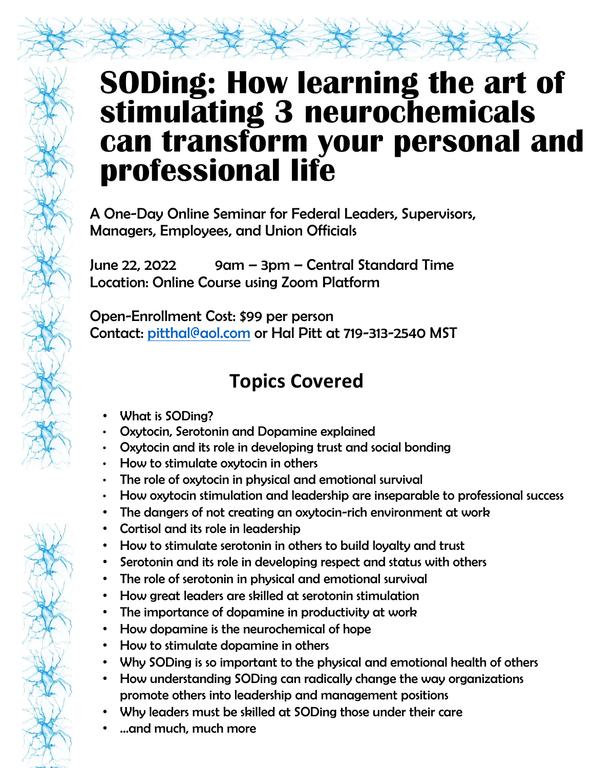# **SODing: How learning the art of stimulating 3 neurochemicals can transform your personal and professional life**

A One-Day Online Seminar for Federal Leaders, Supervisors, Managers, Employees, and Union Officials

June 22, 2022 9am – 3pm – Central Standard Time Location: Online Course using Zoom Platform

Open-Enrollment Cost: \$99 per person Contact: [pitthal@aol.com](mailto:pitthal@aol.com) or Hal Pitt at 719-313-2540 MST

# **Topics Covered**

- What is SODing?
- Oxytocin, Serotonin and Dopamine explained
- Oxytocin and its role in developing trust and social bonding
- How to stimulate oxytocin in others
- The role of oxytocin in physical and emotional survival
- How oxytocin stimulation and leadership are inseparable to professional success
- The dangers of not creating an oxytocin-rich environment at work
- Cortisol and its role in leadership
- How to stimulate serotonin in others to build loyalty and trust
- Serotonin and its role in developing respect and status with others
- The role of serotonin in physical and emotional survival
- How great leaders are skilled at serotonin stimulation
- The importance of dopamine in productivity at work
- How dopamine is the neurochemical of hope
- How to stimulate dopamine in others
- Why SODing is so important to the physical and emotional health of others
- How understanding SODing can radically change the way organizations promote others into leadership and management positions
- Why leaders must be skilled at SODing those under their care
- …and much, much more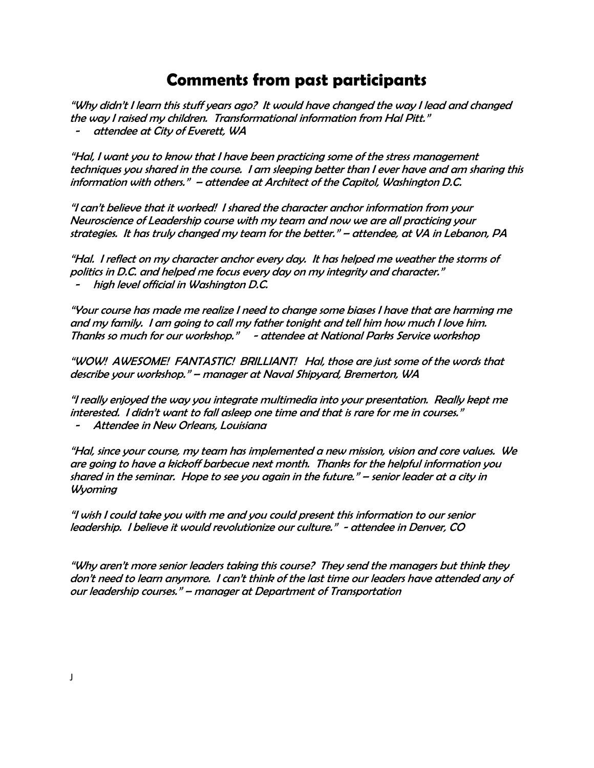#### **Comments from past participants**

"Why didn't I learn this stuff years ago? It would have changed the way I lead and changed the way I raised my children. Transformational information from Hal Pitt." attendee at City of Everett, WA

"Hal, I want you to know that I have been practicing some of the stress management techniques you shared in the course. I am sleeping better than I ever have and am sharing this information with others." – attendee at Architect of the Capitol, Washington D.C.

"I can't believe that it worked! I shared the character anchor information from your Neuroscience of Leadership course with my team and now we are all practicing your strategies. It has truly changed my team for the better." – attendee, at VA in Lebanon, PA

"Hal. I reflect on my character anchor every day. It has helped me weather the storms of politics in D.C. and helped me focus every day on my integrity and character." high level official in Washington D.C.

"Your course has made me realize I need to change some biases I have that are harming me and my family. I am going to call my father tonight and tell him how much I love him. Thanks so much for our workshop." - attendee at National Parks Service workshop

"WOW! AWESOME! FANTASTIC! BRILLIANT! Hal, those are just some of the words that describe your workshop." – manager at Naval Shipyard, Bremerton, WA

"I really enjoyed the way you integrate multimedia into your presentation. Really kept me interested. I didn't want to fall asleep one time and that is rare for me in courses."

Attendee in New Orleans, Louisiana

"Hal, since your course, my team has implemented a new mission, vision and core values. We are going to have a kickoff barbecue next month. Thanks for the helpful information you shared in the seminar. Hope to see you again in the future." – senior leader at a city in **Wyoming** 

"I wish I could take you with me and you could present this information to our senior leadership. I believe it would revolutionize our culture." - attendee in Denver, CO

"Why aren't more senior leaders taking this course? They send the managers but think they don't need to learn anymore. I can't think of the last time our leaders have attended any of our leadership courses." – manager at Department of Transportation